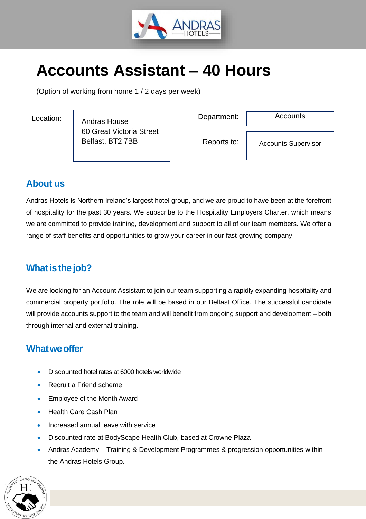

# **Accounts Assistant – 40 Hours**

(Option of working from home 1 / 2 days per week)

Andras House 60 Great Victoria Street Belfast, BT2 7BB Location: Department:

**Accounts** 

Reports to:

Accounts Supervisor

# **About us**

Andras Hotels is Northern Ireland's largest hotel group, and we are proud to have been at the forefront of hospitality for the past 30 years. We subscribe to the Hospitality Employers Charter, which means we are committed to provide training, development and support to all of our team members. We offer a range of staff benefits and opportunities to grow your career in our fast-growing company.

# **What is the job?**

We are looking for an Account Assistant to join our team supporting a rapidly expanding hospitality and commercial property portfolio. The role will be based in our Belfast Office. The successful candidate will provide accounts support to the team and will benefit from ongoing support and development – both through internal and external training.

# **Whatweoffer**

- Discounted hotel rates at 6000 hotels worldwide
- Recruit a Friend scheme
- Employee of the Month Award
- Health Care Cash Plan
- Increased annual leave with service
- Discounted rate at BodyScape Health Club, based at Crowne Plaza
- Andras Academy Training & Development Programmes & progression opportunities within the Andras Hotels Group.

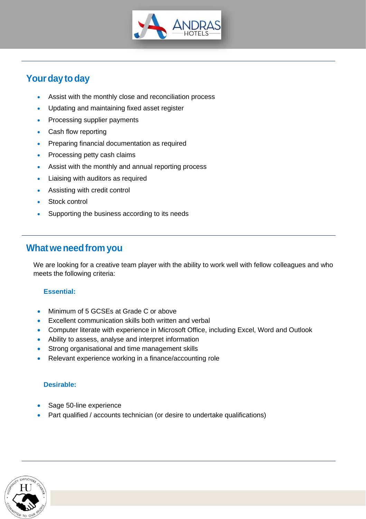

# Your day to day

- Assist with the monthly close and reconciliation process
- Updating and maintaining fixed asset register
- Processing supplier payments
- Cash flow reporting
- Preparing financial documentation as required
- Processing petty cash claims
- Assist with the monthly and annual reporting process
- Liaising with auditors as required
- Assisting with credit control
- Stock control
- Supporting the business according to its needs

## **Whatweneedfrom you**

We are looking for a creative team player with the ability to work well with fellow colleagues and who meets the following criteria:

### **Essential:**

- Minimum of 5 GCSEs at Grade C or above
- Excellent communication skills both written and verbal
- Computer literate with experience in Microsoft Office, including Excel, Word and Outlook
- Ability to assess, analyse and interpret information
- Strong organisational and time management skills
- Relevant experience working in a finance/accounting role

### **Desirable:**

- Sage 50-line experience
- Part qualified / accounts technician (or desire to undertake qualifications)